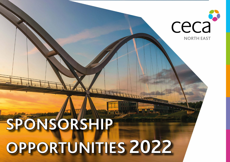# **SPONSORSHIP OPPORTUNITIES 2022**

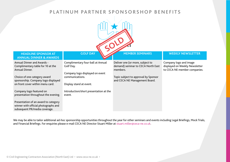### **PLATINUM PARTNER SPONSORSHOP BENEFITS**



#### **HEADLINE SPONSOR AT GOLF DAY MEMBER SEMINARS WEEKLY NEWSLETTER ANNUAL DINNER & AWARDS**

Annual Dinner and Awards - Complimentary table for 10 at the Annual Dinner.

Choice of one category award sponsorship. Company logo displayed on front cover within menu card.

Company logo featured on presentation throughout the evening.

Presentation of an award to category winner with official photographs and subsequent PR/media coverage.

Complimentary four-ball at Annual Golf Day.

Company logo displayed on event communications.

Display stand at event.

Introduction/short presentation at the event.

Deliver one (or more, subject to demand) seminar to CECA North East members.

Topic subject to approval by Sponsor and CECA NE Management Board.

# Company logo and image

displayed on Weekly Newsletter to CECA NE member companies.

We may be able to tailor additional ad-hoc sponsorship opportunities throughout the year for other seminars and events including Legal Briefings, Mock Trials, and Financial Briefings. For enquiries please e-mail CECA NE Director Stuart Miller at stuart.miller@ceca-ne.co.uk.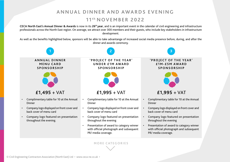# **ANNUAL DINNER AND AWARDS EVENING 1 1 th NOVEMBER 2022**

**CECA North East's Annual Dinner & Awards** is now in its **26th year**, and is an important event in the calendar of civil engineering and infrastructure professionals across the North East region. On average, we attract over 300 members and their guests, who include key stakeholders in infrastructure development.

As well as the benefits highlighted below, sponsors will be able to take advantange of increased social media presence before, during, and after the dinner and awards ceremony.

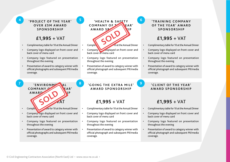#### **4 5 'PROJECT OF THE YEAR' OVER £5M AWARD SPONSORSHIP**

#### **£1,995** + VAT

- Complimentary table for 10 at the Annual Dinner
- Company logo displayed on front cover and back cover of menu card
- Company logo featured on presentation throughout the evening
- Presentation of award to category winner with official photographs and subsequent PR/media coverage.

**'HEALTH & SAFETY** COMPANY OF **THE AR' AWARD SP 2007**  $\epsilon$  For 10 at the Annual Dinner **SOLD**

- Company displayed on front cover and back cover of menu card
- Company logo featured on presentation throughout the evening
- Presentation of award to category winner with official photograph and subsequent PR/media coverage.

#### **'TRAINING COMPANY OF THE YEAR' AWARD SPONSORSHIP**

**6**

**9**

### **£1,995** + VAT

- Complimentary table for 10 at the Annual Dinner
- Company logo displayed on front cover and back cover of menu card
- Company logo featured on presentation throughout the evening
- Presentation of award to category winner with official photograph and subsequent PR/media coverage.

**7 8 'ENVIRONMENTAL** COMPANY **OF THE YEAR** AWARD SPONSORS **SOLD**

**Complimentary Complishing Complimentary table for 10 at the Annual Dinner** 

**1995** 1995

- Company logo displayed on front cover and back cover of menu card
- Company logo featured on presentation throughout the evening
- Presentation of award to category winner with official photographs and subsequent PR/media coverage.

**'GOING THE EXTRA MILE' AWARD SPONSORSHIP**

# **£1,995** + VAT

- Complimentary table for 10 at the Annual Dinner
- Company logo displayed on front cover and back cover of menu card
- Company logo featured on presentation throughout the evening
- Presentation of award to category winner with official photograph and subsequent PR/media coverage.

**'CLIENT OF THE YEAR' AWARD SPONSORSHIP**

# **£1,995** + VAT

- Complimentary table for 10 at the Annual Dinner
- Company logo displayed on front cover and back cover of menu card
- Company logo featured on presentation throughout the evening
- Presentation of award to category winner with official photograph and subsequent PR/media coverage.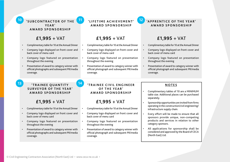#### **10 SUBCONTRACTOR OF THE 11 'LIFETIME ACHIEVEMENT' 12 YEAR' AWARD SPONSORSHIP**

#### **£1,995** + VAT

- Complimentary table for 10 at the Annual Dinner
- Company logo displayed on front cover and back cover of menu card
- Company logo featured on presentation throughout the evening
- Presentation of award to category winner with official photographs and subsequent PR/media coverage.

# **AWARD SPONSORSHIP**

#### **£1,995** + VAT

- Complimentary table for 10 at the Annual Dinner
- Company logo displayed on front cover and back cover of menu card
- Company logo featured on presentation throughout the evening
- Presentation of award to category winner with official photograph and subsequent PR/media coverage.

#### **'APPRENTICE OF THE YEAR' AWARD SPONSORSHIP**

## **£1,995** + VAT

- Complimentary table for 10 at the Annual Dinner
- Company logo displayed on front cover and back cover of menu card
- Company logo featured on presentation throughout the evening
- Presentation of award to category winner with official photograph and subsequent PR/media coverage.

#### **13 14 'TRAINEE QUANTITY SURVEYOR OF THE YEAR' AWARD SPONSORSHIP**

# **£1,995** + VAT

- Complimentary table for 10 at the Annual Dinner
- Company logo displayed on front cover and back cover of menu card
- Company logo featured on presentation throughout the evening
- Presentation of award to category winner with official photographs and subsequent PR/media coverage.

#### **'TRAINEE CIVIL ENGINEER O F T H E Y E A R ' AWARD SPONSORSHIP**

# **£1,995** + VAT

- Complimentary table for 10 at the Annual Dinner
- Company logo displayed on front cover and back cover of menu card
- Company logo featured on presentation throughout the evening
- Presentation of award to category winner with official photograph and subsequent PR/media coverage.

#### **NOTES**

- Complimentary tables of 10 are a MINIMUM table size. Additional places can be purchased separately.
- Sponsorship opportunities are invited from firms operating in the construction/civil engineering/ infrastructure supply chain.
- Every effort will be made to ensure that all sponsors provide unique, non-competing products and services in relation to other category sponsors.
- All applications for sponsorship shall be considered and approved by the Board of CECA (North East) Ltd.